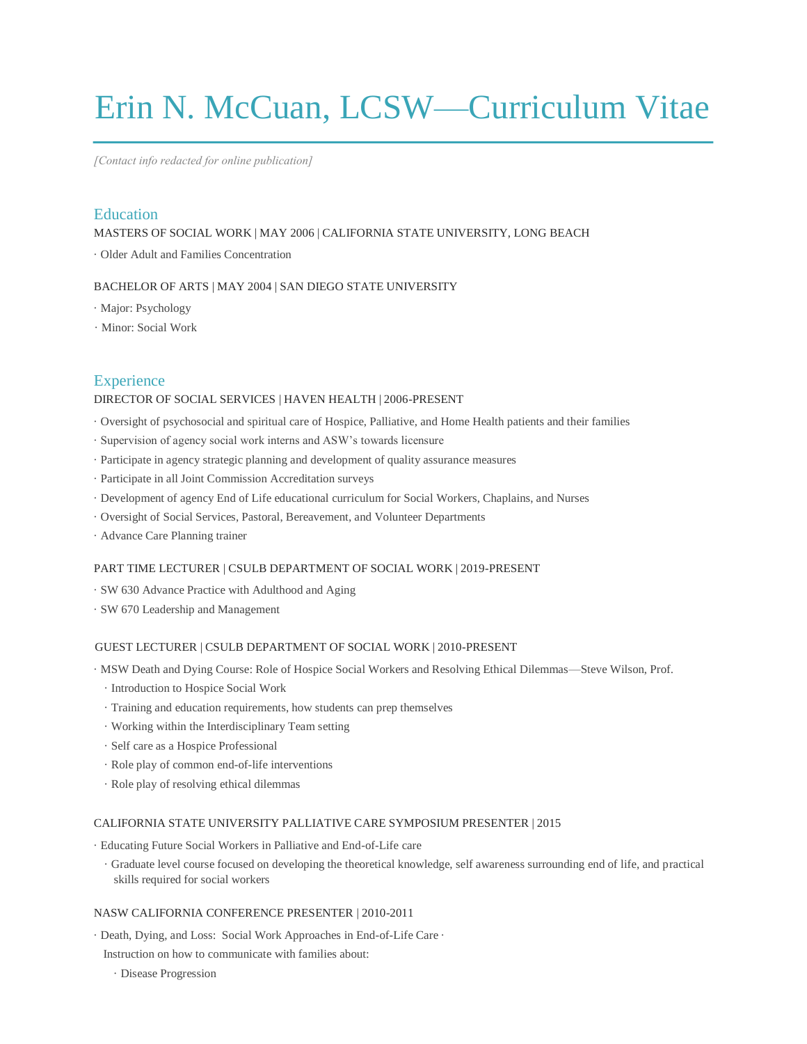# Erin N. McCuan, LCSW—Curriculum Vitae

*[Contact info redacted for online publication]*

## Education

MASTERS OF SOCIAL WORK | MAY 2006 | CALIFORNIA STATE UNIVERSITY, LONG BEACH

· Older Adult and Families Concentration

#### BACHELOR OF ARTS | MAY 2004 | SAN DIEGO STATE UNIVERSITY

- · Major: Psychology
- · Minor: Social Work

## **Experience**

#### DIRECTOR OF SOCIAL SERVICES | HAVEN HEALTH | 2006-PRESENT

- · Oversight of psychosocial and spiritual care of Hospice, Palliative, and Home Health patients and their families
- · Supervision of agency social work interns and ASW's towards licensure
- · Participate in agency strategic planning and development of quality assurance measures
- · Participate in all Joint Commission Accreditation surveys
- · Development of agency End of Life educational curriculum for Social Workers, Chaplains, and Nurses
- · Oversight of Social Services, Pastoral, Bereavement, and Volunteer Departments
- · Advance Care Planning trainer

#### PART TIME LECTURER | CSULB DEPARTMENT OF SOCIAL WORK | 2019-PRESENT

- · SW 630 Advance Practice with Adulthood and Aging
- · SW 670 Leadership and Management

#### GUEST LECTURER | CSULB DEPARTMENT OF SOCIAL WORK | 2010-PRESENT

· MSW Death and Dying Course: Role of Hospice Social Workers and Resolving Ethical Dilemmas—Steve Wilson, Prof.

- · Introduction to Hospice Social Work
- · Training and education requirements, how students can prep themselves
- · Working within the Interdisciplinary Team setting
- · Self care as a Hospice Professional
- · Role play of common end-of-life interventions
- · Role play of resolving ethical dilemmas

## CALIFORNIA STATE UNIVERSITY PALLIATIVE CARE SYMPOSIUM PRESENTER | 2015

· Educating Future Social Workers in Palliative and End-of-Life care

· Graduate level course focused on developing the theoretical knowledge, self awareness surrounding end of life, and practical skills required for social workers

#### NASW CALIFORNIA CONFERENCE PRESENTER | 2010-2011

- · Death, Dying, and Loss: Social Work Approaches in End-of-Life Care ·
- Instruction on how to communicate with families about:
	- · Disease Progression